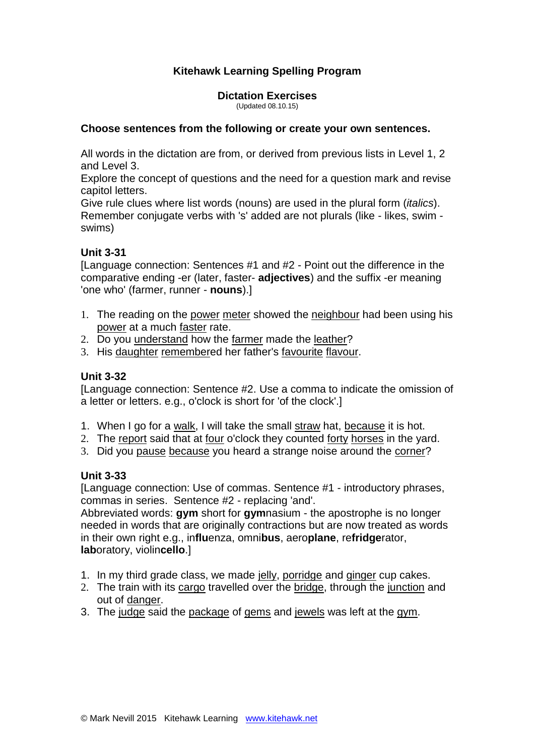# **Kitehawk Learning Spelling Program**

**Dictation Exercises** (Updated 08.10.15)

#### **Choose sentences from the following or create your own sentences.**

All words in the dictation are from, or derived from previous lists in Level 1, 2 and Level 3.

Explore the concept of questions and the need for a question mark and revise capitol letters.

Give rule clues where list words (nouns) are used in the plural form (*italics*). Remember conjugate verbs with 's' added are not plurals (like - likes, swim swims)

### **Unit 3-31**

[Language connection: Sentences #1 and #2 - Point out the difference in the comparative ending -er (later, faster- **adjectives**) and the suffix -er meaning 'one who' (farmer, runner - **nouns**).]

- 1. The reading on the power meter showed the neighbour had been using his power at a much faster rate.
- 2. Do you understand how the farmer made the leather?
- 3. His daughter remembered her father's favourite flavour.

### **Unit 3-32**

[Language connection: Sentence #2. Use a comma to indicate the omission of a letter or letters. e.g., o'clock is short for 'of the clock'.]

- 1. When I go for a walk, I will take the small straw hat, because it is hot.
- 2. The report said that at four o'clock they counted forty horses in the yard.
- 3. Did you pause because you heard a strange noise around the corner?

### **Unit 3-33**

[Language connection: Use of commas. Sentence #1 - introductory phrases, commas in series. Sentence #2 - replacing 'and'.

Abbreviated words: **gym** short for **gym**nasium - the apostrophe is no longer needed in words that are originally contractions but are now treated as words in their own right e.g., in**flu**enza, omni**bus**, aero**plane**, re**fridge**rator, **lab**oratory, violin**cello**.]

- 1. In my third grade class, we made jelly, porridge and ginger cup cakes.
- 2. The train with its cargo travelled over the bridge, through the junction and out of danger.
- 3. The judge said the package of gems and jewels was left at the gym.